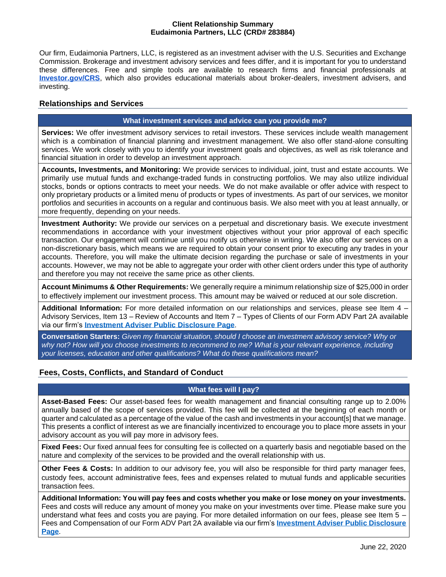#### **Client Relationship Summary Eudaimonia Partners, LLC (CRD# 283884)**

Our firm, Eudaimonia Partners, LLC, is registered as an investment adviser with the U.S. Securities and Exchange Commission. Brokerage and investment advisory services and fees differ, and it is important for you to understand these differences. Free and simple tools are available to research firms and financial professionals at **[Investor.gov/CRS](http://investor.gov/CRS)**, which also provides educational materials about broker-dealers, investment advisers, and investing.

## **Relationships and Services**

## **What investment services and advice can you provide me?**

**Services:** We offer investment advisory services to retail investors. These services include wealth management which is a combination of financial planning and investment management. We also offer stand-alone consulting services. We work closely with you to identify your investment goals and objectives, as well as risk tolerance and financial situation in order to develop an investment approach.

**Accounts, Investments, and Monitoring:** We provide services to individual, joint, trust and estate accounts. We primarily use mutual funds and exchange-traded funds in constructing portfolios. We may also utilize individual stocks, bonds or options contracts to meet your needs. We do not make available or offer advice with respect to only proprietary products or a limited menu of products or types of investments. As part of our services, we monitor portfolios and securities in accounts on a regular and continuous basis. We also meet with you at least annually, or more frequently, depending on your needs.

**Investment Authority:** We provide our services on a perpetual and discretionary basis. We execute investment recommendations in accordance with your investment objectives without your prior approval of each specific transaction. Our engagement will continue until you notify us otherwise in writing. We also offer our services on a non-discretionary basis, which means we are required to obtain your consent prior to executing any trades in your accounts. Therefore, you will make the ultimate decision regarding the purchase or sale of investments in your accounts. However, we may not be able to aggregate your order with other client orders under this type of authority and therefore you may not receive the same price as other clients.

**Account Minimums & Other Requirements:** We generally require a minimum relationship size of \$25,000 in order to effectively implement our investment process. This amount may be waived or reduced at our sole discretion.

**Additional Information:** For more detailed information on our relationships and services, please see Item 4 – Advisory Services, Item 13 – Review of Accounts and Item 7 – Types of Clients of our Form ADV Part 2A available via our firm's **[Investment Adviser Public Disclosure Page](https://adviserinfo.sec.gov/firm/summary/283884)**.

**Conversation Starters:** *Given my financial situation, should I choose an investment advisory service? Why or why not? How will you choose investments to recommend to me? What is your relevant experience, including your licenses, education and other qualifications? What do these qualifications mean?*

# **Fees, Costs, Conflicts, and Standard of Conduct**

### **What fees will I pay?**

**Asset-Based Fees:** Our asset-based fees for wealth management and financial consulting range up to 2.00% annually based of the scope of services provided. This fee will be collected at the beginning of each month or quarterand calculated as a percentage of the value of the cash and investments in your account[s] that we manage. This presents a conflict of interest as we are financially incentivized to encourage you to place more assets in your advisory account as you will pay more in advisory fees.

**Fixed Fees:** Our fixed annual fees for consulting fee is collected on a quarterly basis and negotiable based on the nature and complexity of the services to be provided and the overall relationship with us.

**Other Fees & Costs:** In addition to our advisory fee, you will also be responsible for third party manager fees, custody fees, account administrative fees, fees and expenses related to mutual funds and applicable securities transaction fees.

**Additional Information: You will pay fees and costs whether you make or lose money on your investments.**  Fees and costs will reduce any amount of money you make on your investments over time. Please make sure you understand what fees and costs you are paying. For more detailed information on our fees, please see Item 5 – Fees and Compensation of our Form ADV Part 2A available via our firm's **[Investment Adviser Public Disclosure](https://adviserinfo.sec.gov/firm/summary/283884)  [Page](https://adviserinfo.sec.gov/firm/summary/283884)**.